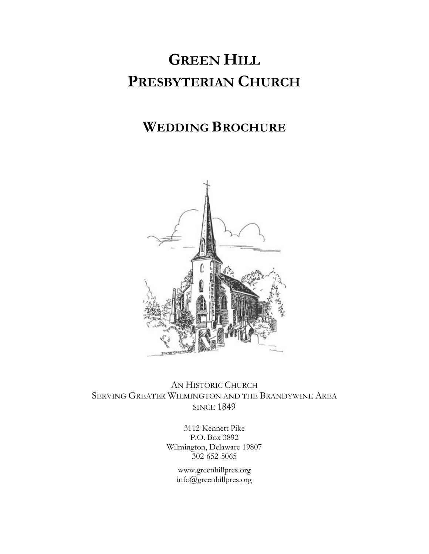# **GREEN HILL PRESBYTERIAN CHURCH**

## **WEDDING BROCHURE**



AN HISTORIC CHURCH SERVING GREATER WILMINGTON AND THE BRANDYWINE AREA **SINCE 1849** 

> 3112 Kennett Pike P.O. Box 3892 Wilmington, Delaware 19807 302-652-5065

> > www.greenhillpres.org info@greenhillpres.org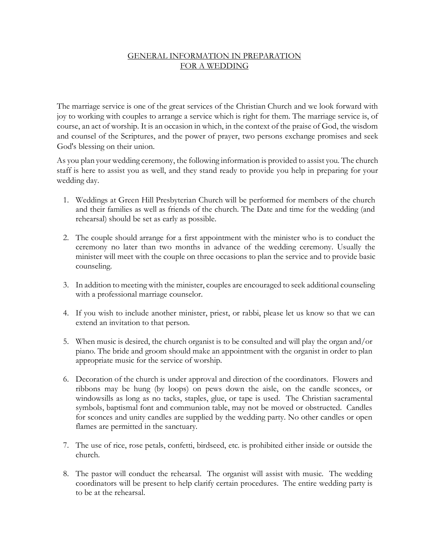### GENERAL INFORMATION IN PREPARATION FOR A WEDDING

The marriage service is one of the great services of the Christian Church and we look forward with joy to working with couples to arrange a service which is right for them. The marriage service is, of course, an act of worship. It is an occasion in which, in the context of the praise of God, the wisdom and counsel of the Scriptures, and the power of prayer, two persons exchange promises and seek God's blessing on their union.

As you plan your wedding ceremony, the following information is provided to assist you. The church staff is here to assist you as well, and they stand ready to provide you help in preparing for your wedding day.

- 1. Weddings at Green Hill Presbyterian Church will be performed for members of the church and their families as well as friends of the church. The Date and time for the wedding (and rehearsal) should be set as early as possible.
- 2. The couple should arrange for a first appointment with the minister who is to conduct the ceremony no later than two months in advance of the wedding ceremony. Usually the minister will meet with the couple on three occasions to plan the service and to provide basic counseling.
- 3. In addition to meeting with the minister, couples are encouraged to seek additional counseling with a professional marriage counselor.
- 4. If you wish to include another minister, priest, or rabbi, please let us know so that we can extend an invitation to that person.
- 5. When music is desired, the church organist is to be consulted and will play the organ and/or piano. The bride and groom should make an appointment with the organist in order to plan appropriate music for the service of worship.
- 6. Decoration of the church is under approval and direction of the coordinators. Flowers and ribbons may be hung (by loops) on pews down the aisle, on the candle sconces, or windowsills as long as no tacks, staples, glue, or tape is used. The Christian sacramental symbols, baptismal font and communion table, may not be moved or obstructed. Candles for sconces and unity candles are supplied by the wedding party. No other candles or open flames are permitted in the sanctuary.
- 7. The use of rice, rose petals, confetti, birdseed, etc. is prohibited either inside or outside the church.
- 8. The pastor will conduct the rehearsal. The organist will assist with music. The wedding coordinators will be present to help clarify certain procedures. The entire wedding party is to be at the rehearsal.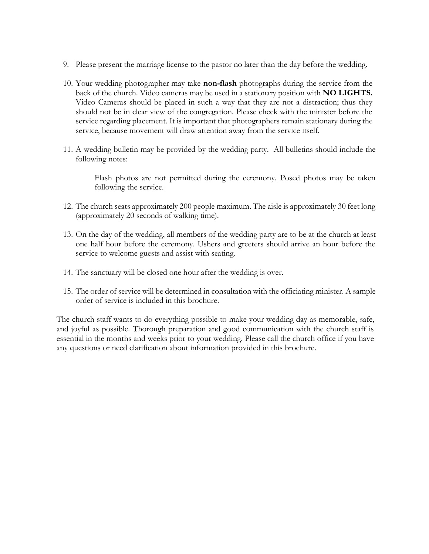- 9. Please present the marriage license to the pastor no later than the day before the wedding.
- 10. Your wedding photographer may take **non-flash** photographs during the service from the back of the church. Video cameras may be used in a stationary position with **NO LIGHTS.**  Video Cameras should be placed in such a way that they are not a distraction; thus they should not be in clear view of the congregation. Please check with the minister before the service regarding placement. It is important that photographers remain stationary during the service, because movement will draw attention away from the service itself.
- 11. A wedding bulletin may be provided by the wedding party. All bulletins should include the following notes:

Flash photos are not permitted during the ceremony. Posed photos may be taken following the service.

- 12. The church seats approximately 200 people maximum. The aisle is approximately 30 feet long (approximately 20 seconds of walking time).
- 13. On the day of the wedding, all members of the wedding party are to be at the church at least one half hour before the ceremony. Ushers and greeters should arrive an hour before the service to welcome guests and assist with seating.
- 14. The sanctuary will be closed one hour after the wedding is over.
- 15. The order of service will be determined in consultation with the officiating minister. A sample order of service is included in this brochure.

The church staff wants to do everything possible to make your wedding day as memorable, safe, and joyful as possible. Thorough preparation and good communication with the church staff is essential in the months and weeks prior to your wedding. Please call the church office if you have any questions or need clarification about information provided in this brochure.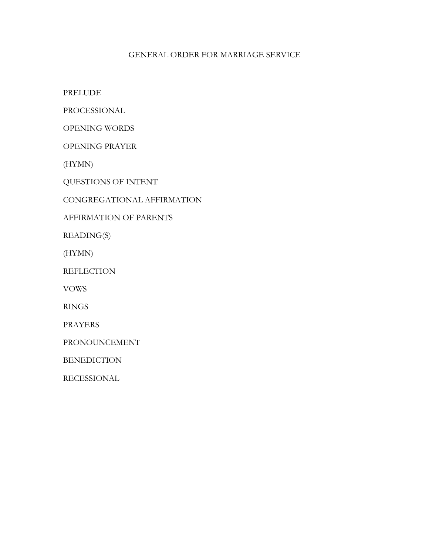#### GENERAL ORDER FOR MARRIAGE SERVICE

PRELUDE

PROCESSIONAL

OPENING WORDS

OPENING PRAYER

(HYMN)

QUESTIONS OF INTENT

CONGREGATIONAL AFFIRMATION

#### AFFIRMATION OF PARENTS

READING(S)

(HYMN)

**REFLECTION** 

VOWS

RINGS

PRAYERS

PRONOUNCEMENT

BENEDICTION

RECESSIONAL